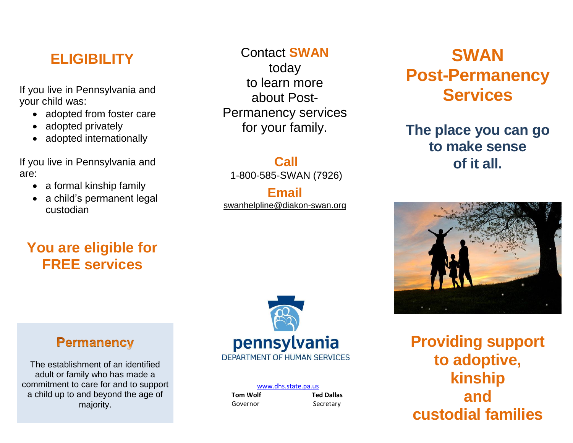#### **ELIGIBILITY**

If you live in Pennsylvania and your child was:

- adopted from foster care
- adopted privately
- adopted internationally

If you live in Pennsylvania and are:

- a formal kinship family
- a child's permanent legal custodian

## **You are eligible for FREE services**

Contact **SWAN** today to learn more about Post-Permanency services for your family.

**Call** 1-800-585-SWAN (7926)

**Email** [swanhelpline@diakon-swan.org](mailto:swanhelpline@diakon-swan.org)

## **SWAN Post-Permanency Services**

#### **The place you can go to make sense of it all.**



**Permanency** 

The establishment of an identified adult or family who has made a commitment to care for and to support a child up to and beyond the age of majority.



| www.dhs.state.pa.us |                   |
|---------------------|-------------------|
| <b>Tom Wolf</b>     | <b>Ted Dallas</b> |
| Governor            | Secretary         |

**Providing support to adoptive, kinship and custodial families**